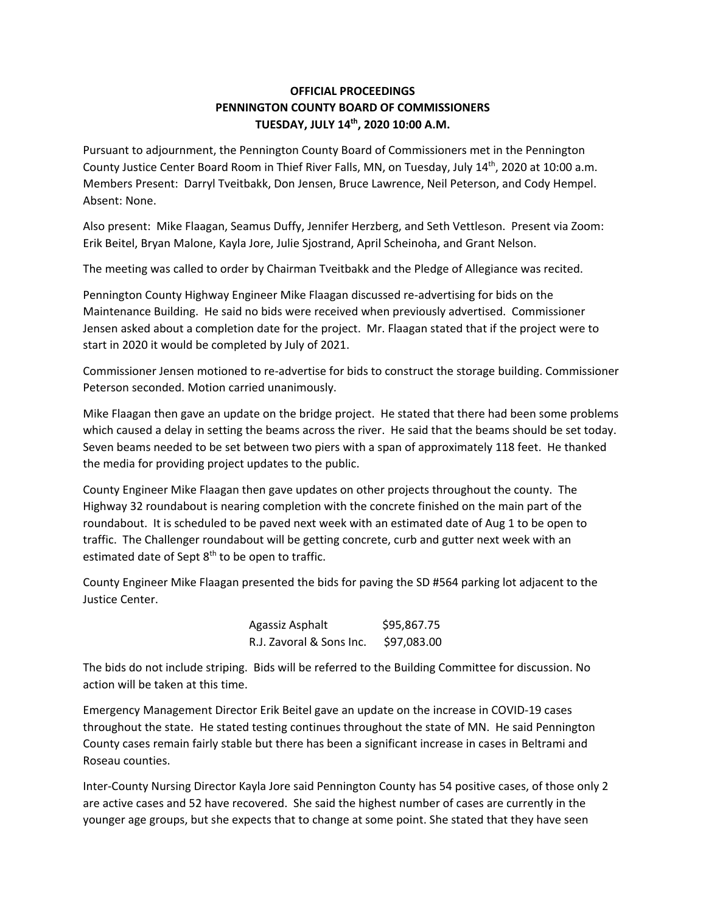## **OFFICIAL PROCEEDINGS PENNINGTON COUNTY BOARD OF COMMISSIONERS TUESDAY, JULY 14th, 2020 10:00 A.M.**

Pursuant to adjournment, the Pennington County Board of Commissioners met in the Pennington County Justice Center Board Room in Thief River Falls, MN, on Tuesday, July 14th, 2020 at 10:00 a.m. Members Present: Darryl Tveitbakk, Don Jensen, Bruce Lawrence, Neil Peterson, and Cody Hempel. Absent: None.

Also present: Mike Flaagan, Seamus Duffy, Jennifer Herzberg, and Seth Vettleson. Present via Zoom: Erik Beitel, Bryan Malone, Kayla Jore, Julie Sjostrand, April Scheinoha, and Grant Nelson.

The meeting was called to order by Chairman Tveitbakk and the Pledge of Allegiance was recited.

Pennington County Highway Engineer Mike Flaagan discussed re‐advertising for bids on the Maintenance Building. He said no bids were received when previously advertised. Commissioner Jensen asked about a completion date for the project. Mr. Flaagan stated that if the project were to start in 2020 it would be completed by July of 2021.

Commissioner Jensen motioned to re‐advertise for bids to construct the storage building. Commissioner Peterson seconded. Motion carried unanimously.

Mike Flaagan then gave an update on the bridge project. He stated that there had been some problems which caused a delay in setting the beams across the river. He said that the beams should be set today. Seven beams needed to be set between two piers with a span of approximately 118 feet. He thanked the media for providing project updates to the public.

County Engineer Mike Flaagan then gave updates on other projects throughout the county. The Highway 32 roundabout is nearing completion with the concrete finished on the main part of the roundabout. It is scheduled to be paved next week with an estimated date of Aug 1 to be open to traffic. The Challenger roundabout will be getting concrete, curb and gutter next week with an estimated date of Sept 8<sup>th</sup> to be open to traffic.

County Engineer Mike Flaagan presented the bids for paving the SD #564 parking lot adjacent to the Justice Center.

> Agassiz Asphalt \$95,867.75 R.J. Zavoral & Sons Inc. \$97,083.00

The bids do not include striping. Bids will be referred to the Building Committee for discussion. No action will be taken at this time.

Emergency Management Director Erik Beitel gave an update on the increase in COVID‐19 cases throughout the state. He stated testing continues throughout the state of MN. He said Pennington County cases remain fairly stable but there has been a significant increase in cases in Beltrami and Roseau counties.

Inter‐County Nursing Director Kayla Jore said Pennington County has 54 positive cases, of those only 2 are active cases and 52 have recovered. She said the highest number of cases are currently in the younger age groups, but she expects that to change at some point. She stated that they have seen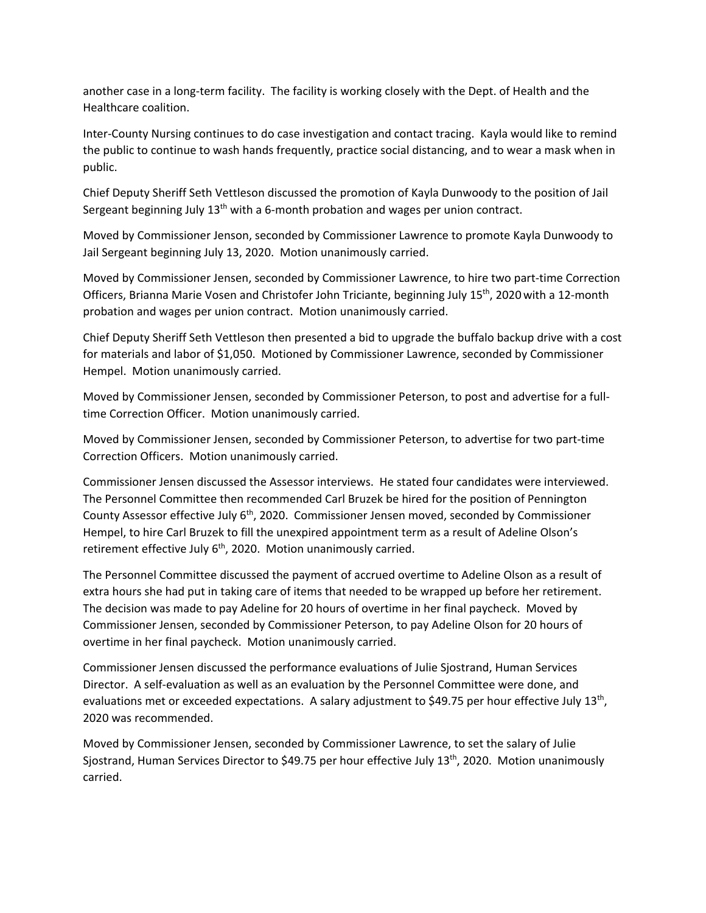another case in a long‐term facility. The facility is working closely with the Dept. of Health and the Healthcare coalition.

Inter‐County Nursing continues to do case investigation and contact tracing. Kayla would like to remind the public to continue to wash hands frequently, practice social distancing, and to wear a mask when in public.

Chief Deputy Sheriff Seth Vettleson discussed the promotion of Kayla Dunwoody to the position of Jail Sergeant beginning July  $13<sup>th</sup>$  with a 6-month probation and wages per union contract.

Moved by Commissioner Jenson, seconded by Commissioner Lawrence to promote Kayla Dunwoody to Jail Sergeant beginning July 13, 2020. Motion unanimously carried.

Moved by Commissioner Jensen, seconded by Commissioner Lawrence, to hire two part‐time Correction Officers, Brianna Marie Vosen and Christofer John Triciante, beginning July 15<sup>th</sup>, 2020 with a 12-month probation and wages per union contract. Motion unanimously carried.

Chief Deputy Sheriff Seth Vettleson then presented a bid to upgrade the buffalo backup drive with a cost for materials and labor of \$1,050. Motioned by Commissioner Lawrence, seconded by Commissioner Hempel. Motion unanimously carried.

Moved by Commissioner Jensen, seconded by Commissioner Peterson, to post and advertise for a full‐ time Correction Officer. Motion unanimously carried.

Moved by Commissioner Jensen, seconded by Commissioner Peterson, to advertise for two part‐time Correction Officers. Motion unanimously carried.

Commissioner Jensen discussed the Assessor interviews. He stated four candidates were interviewed. The Personnel Committee then recommended Carl Bruzek be hired for the position of Pennington County Assessor effective July  $6<sup>th</sup>$ , 2020. Commissioner Jensen moved, seconded by Commissioner Hempel, to hire Carl Bruzek to fill the unexpired appointment term as a result of Adeline Olson's retirement effective July 6<sup>th</sup>, 2020. Motion unanimously carried.

The Personnel Committee discussed the payment of accrued overtime to Adeline Olson as a result of extra hours she had put in taking care of items that needed to be wrapped up before her retirement. The decision was made to pay Adeline for 20 hours of overtime in her final paycheck. Moved by Commissioner Jensen, seconded by Commissioner Peterson, to pay Adeline Olson for 20 hours of overtime in her final paycheck. Motion unanimously carried.

Commissioner Jensen discussed the performance evaluations of Julie Sjostrand, Human Services Director. A self‐evaluation as well as an evaluation by the Personnel Committee were done, and evaluations met or exceeded expectations. A salary adjustment to \$49.75 per hour effective July 13<sup>th</sup>, 2020 was recommended.

Moved by Commissioner Jensen, seconded by Commissioner Lawrence, to set the salary of Julie Sjostrand, Human Services Director to \$49.75 per hour effective July 13<sup>th</sup>, 2020. Motion unanimously carried.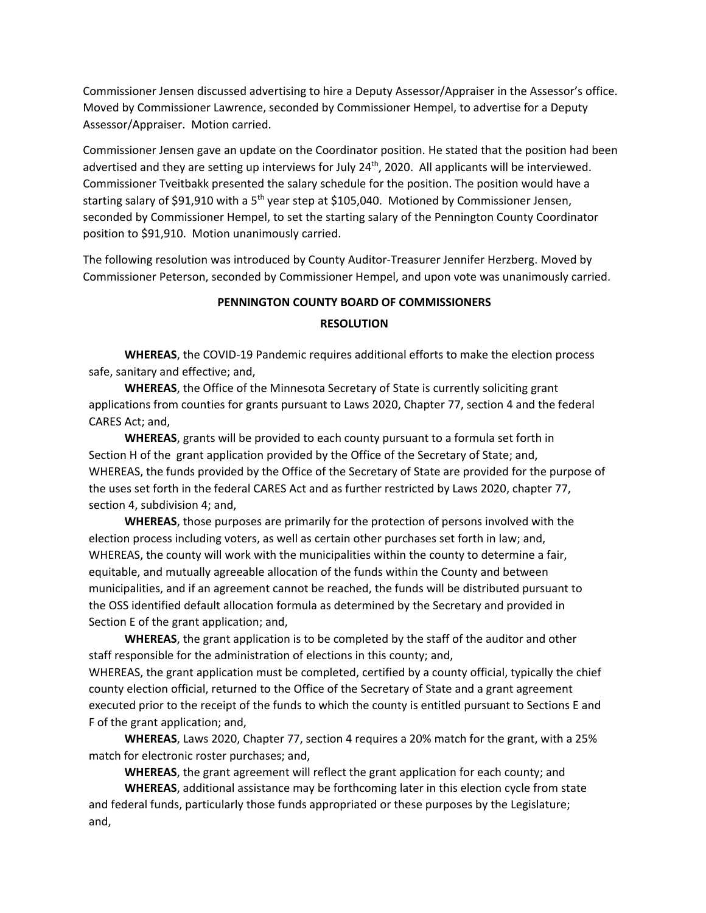Commissioner Jensen discussed advertising to hire a Deputy Assessor/Appraiser in the Assessor's office. Moved by Commissioner Lawrence, seconded by Commissioner Hempel, to advertise for a Deputy Assessor/Appraiser. Motion carried.

Commissioner Jensen gave an update on the Coordinator position. He stated that the position had been advertised and they are setting up interviews for July  $24<sup>th</sup>$ , 2020. All applicants will be interviewed. Commissioner Tveitbakk presented the salary schedule for the position. The position would have a starting salary of \$91,910 with a  $5<sup>th</sup>$  year step at \$105,040. Motioned by Commissioner Jensen, seconded by Commissioner Hempel, to set the starting salary of the Pennington County Coordinator position to \$91,910. Motion unanimously carried.

The following resolution was introduced by County Auditor‐Treasurer Jennifer Herzberg. Moved by Commissioner Peterson, seconded by Commissioner Hempel, and upon vote was unanimously carried.

## **PENNINGTON COUNTY BOARD OF COMMISSIONERS RESOLUTION**

**WHEREAS**, the COVID‐19 Pandemic requires additional efforts to make the election process safe, sanitary and effective; and,

**WHEREAS**, the Office of the Minnesota Secretary of State is currently soliciting grant applications from counties for grants pursuant to Laws 2020, Chapter 77, section 4 and the federal CARES Act; and,

**WHEREAS**, grants will be provided to each county pursuant to a formula set forth in Section H of the grant application provided by the Office of the Secretary of State; and, WHEREAS, the funds provided by the Office of the Secretary of State are provided for the purpose of the uses set forth in the federal CARES Act and as further restricted by Laws 2020, chapter 77, section 4, subdivision 4; and,

**WHEREAS**, those purposes are primarily for the protection of persons involved with the election process including voters, as well as certain other purchases set forth in law; and, WHEREAS, the county will work with the municipalities within the county to determine a fair, equitable, and mutually agreeable allocation of the funds within the County and between municipalities, and if an agreement cannot be reached, the funds will be distributed pursuant to the OSS identified default allocation formula as determined by the Secretary and provided in Section E of the grant application; and,

**WHEREAS**, the grant application is to be completed by the staff of the auditor and other staff responsible for the administration of elections in this county; and, WHEREAS, the grant application must be completed, certified by a county official, typically the chief county election official, returned to the Office of the Secretary of State and a grant agreement executed prior to the receipt of the funds to which the county is entitled pursuant to Sections E and F of the grant application; and,

**WHEREAS**, Laws 2020, Chapter 77, section 4 requires a 20% match for the grant, with a 25% match for electronic roster purchases; and,

**WHEREAS**, the grant agreement will reflect the grant application for each county; and

**WHEREAS**, additional assistance may be forthcoming later in this election cycle from state and federal funds, particularly those funds appropriated or these purposes by the Legislature; and,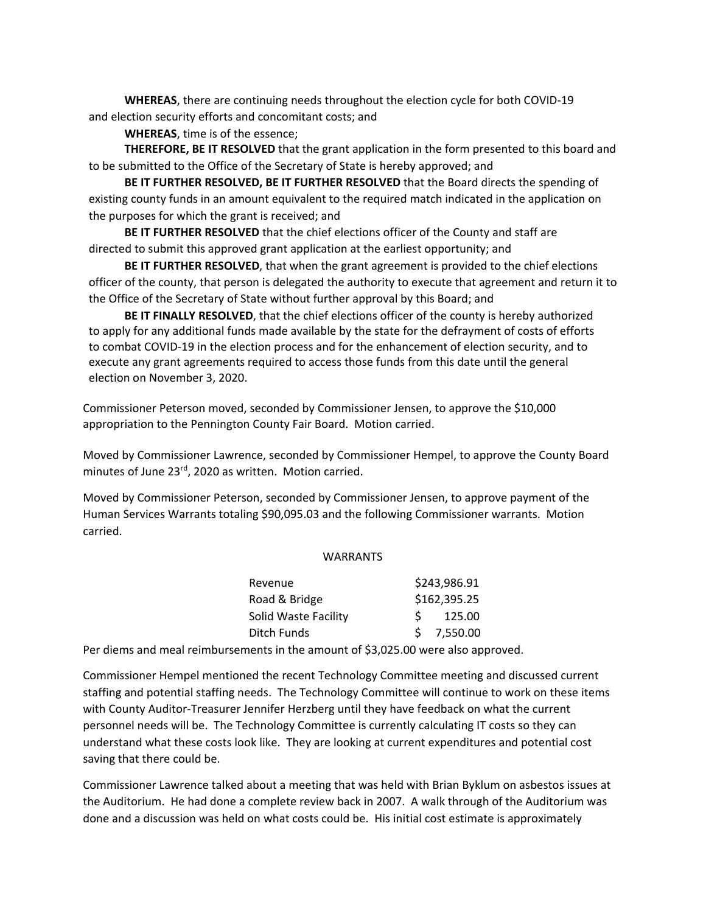**WHEREAS**, there are continuing needs throughout the election cycle for both COVID‐19 and election security efforts and concomitant costs; and

**WHEREAS**, time is of the essence;

**THEREFORE, BE IT RESOLVED** that the grant application in the form presented to this board and to be submitted to the Office of the Secretary of State is hereby approved; and

**BE IT FURTHER RESOLVED, BE IT FURTHER RESOLVED** that the Board directs the spending of existing county funds in an amount equivalent to the required match indicated in the application on the purposes for which the grant is received; and

**BE IT FURTHER RESOLVED** that the chief elections officer of the County and staff are directed to submit this approved grant application at the earliest opportunity; and

**BE IT FURTHER RESOLVED**, that when the grant agreement is provided to the chief elections officer of the county, that person is delegated the authority to execute that agreement and return it to the Office of the Secretary of State without further approval by this Board; and

**BE IT FINALLY RESOLVED**, that the chief elections officer of the county is hereby authorized to apply for any additional funds made available by the state for the defrayment of costs of efforts to combat COVID‐19 in the election process and for the enhancement of election security, and to execute any grant agreements required to access those funds from this date until the general election on November 3, 2020.

Commissioner Peterson moved, seconded by Commissioner Jensen, to approve the \$10,000 appropriation to the Pennington County Fair Board. Motion carried.

Moved by Commissioner Lawrence, seconded by Commissioner Hempel, to approve the County Board minutes of June 23rd, 2020 as written. Motion carried.

Moved by Commissioner Peterson, seconded by Commissioner Jensen, to approve payment of the Human Services Warrants totaling \$90,095.03 and the following Commissioner warrants. Motion carried.

## **WARRANTS**

| Revenue              | \$243,986.91 |            |
|----------------------|--------------|------------|
| Road & Bridge        | \$162,395.25 |            |
| Solid Waste Facility |              | 125.00     |
| Ditch Funds          |              | \$7,550.00 |

Per diems and meal reimbursements in the amount of \$3,025.00 were also approved.

Commissioner Hempel mentioned the recent Technology Committee meeting and discussed current staffing and potential staffing needs. The Technology Committee will continue to work on these items with County Auditor‐Treasurer Jennifer Herzberg until they have feedback on what the current personnel needs will be. The Technology Committee is currently calculating IT costs so they can understand what these costs look like. They are looking at current expenditures and potential cost saving that there could be.

Commissioner Lawrence talked about a meeting that was held with Brian Byklum on asbestos issues at the Auditorium. He had done a complete review back in 2007. A walk through of the Auditorium was done and a discussion was held on what costs could be. His initial cost estimate is approximately